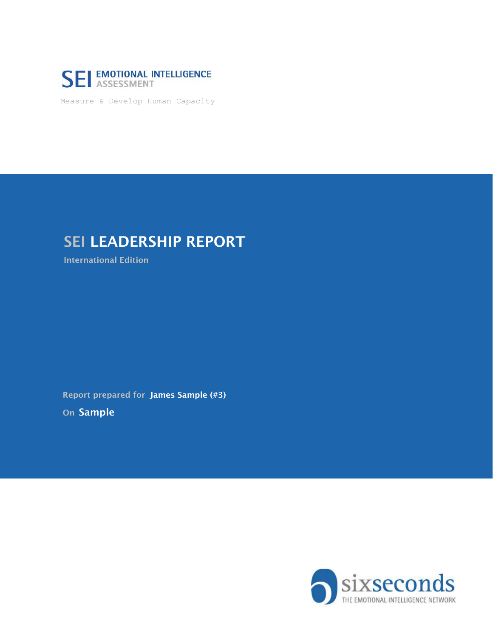

Measure & Develop Human Capacity

# **SEI LEADERSHIP REPORT**

International Edition

On Sample Report prepared for James Sample (#3)

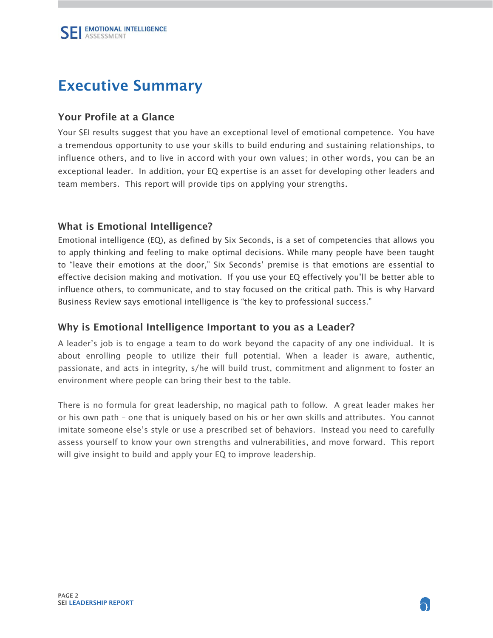# <span id="page-1-0"></span>Executive Summary

## Your Profile at a Glance

Your SEI results suggest that you have an exceptional level of emotional competence. You have a tremendous opportunity to use your skills to build enduring and sustaining relationships, to influence others, and to live in accord with your own values; in other words, you can be an exceptional leader. In addition, your EQ expertise is an asset for developing other leaders and team members. This report will provide tips on applying your strengths.

## What is Emotional Intelligence?

Emotional intelligence (EQ), as defined by Six Seconds, is a set of competencies that allows you to apply thinking and feeling to make optimal decisions. While many people have been taught to "leave their emotions at the door," Six Seconds' premise is that emotions are essential to effective decision making and motivation. If you use your EQ effectively you'll be better able to influence others, to communicate, and to stay focused on the critical path. This is why Harvard Business Review says emotional intelligence is "the key to professional success."

### Why is Emotional Intelligence Important to you as a Leader?

A leader's job is to engage a team to do work beyond the capacity of any one individual. It is about enrolling people to utilize their full potential. When a leader is aware, authentic, passionate, and acts in integrity, s/he will build trust, commitment and alignment to foster an environment where people can bring their best to the table.

There is no formula for great leadership, no magical path to follow. A great leader makes her or his own path – one that is uniquely based on his or her own skills and attributes. You cannot imitate someone else's style or use a prescribed set of behaviors. Instead you need to carefully assess yourself to know your own strengths and vulnerabilities, and move forward. This report will give insight to build and apply your EQ to improve leadership.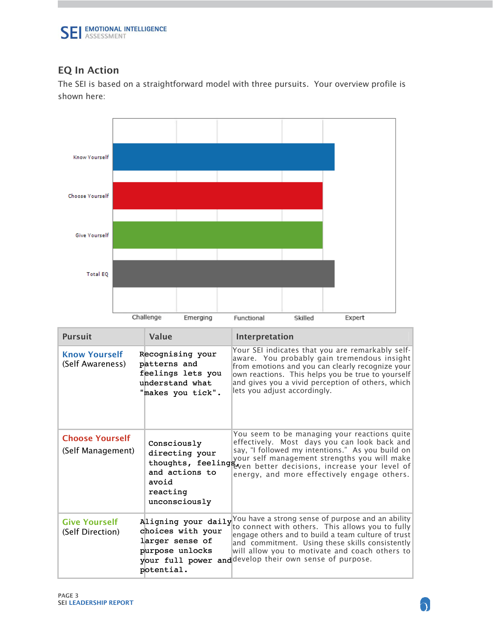

# EQ In Action

The SEI is based on a straightforward model with three pursuits. Your overview profile is shown here:



| <b>Pursuit</b>                              | Value                                                                                         | Interpretation                                                                                                                                                                                                                                                                                                                                  |
|---------------------------------------------|-----------------------------------------------------------------------------------------------|-------------------------------------------------------------------------------------------------------------------------------------------------------------------------------------------------------------------------------------------------------------------------------------------------------------------------------------------------|
| <b>Know Yourself</b><br>(Self Awareness)    | Recognising your<br>patterns and<br>feelings lets you<br>understand what<br>"makes you tick". | Your SEI indicates that you are remarkably self-<br>aware. You probably gain tremendous insight<br>from emotions and you can clearly recognize your<br>own reactions. This helps you be true to yourself<br>and gives you a vivid perception of others, which<br>lets you adjust accordingly.                                                   |
| <b>Choose Yourself</b><br>(Self Management) | Consciously<br>directing your<br>and actions to<br>avoid<br>reacting<br>unconsciously         | You seem to be managing your reactions quite<br>effectively. Most days you can look back and<br>say, "I followed my intentions." As you build on<br>differently your self management strengths you will make<br>thoughts, feeling even better decisions, increase your level of<br>energy, and more effectively engage others.                  |
| <b>Give Yourself</b><br>(Self Direction)    | choices with your<br>larger sense of<br>purpose unlocks<br>potential.                         | Aligning your daily You have a strong sense of purpose and an ability<br>to connect with others. This allows you to fully<br>engage others and to build a team culture of trust<br>and commitment. Using these skills consistently<br>will allow you to motivate and coach others to<br>your full power and develop their own sense of purpose. |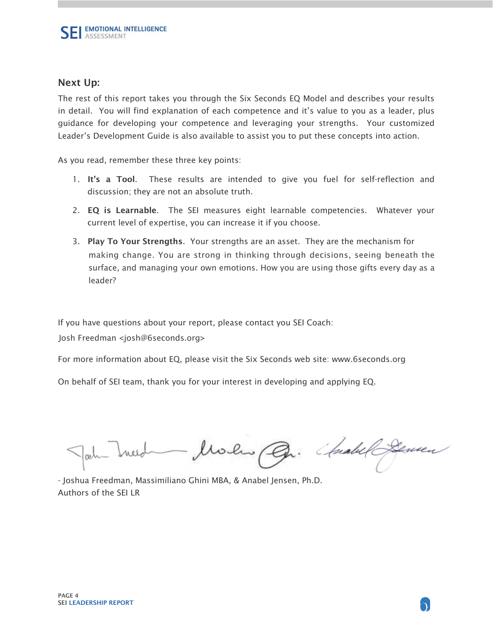#### Next Up:

The rest of this report takes you through the Six Seconds EQ Model and describes your results in detail. You will find explanation of each competence and it's value to you as a leader, plus guidance for developing your competence and leveraging your strengths. Your customized Leader's Development Guide is also available to assist you to put these concepts into action.

As you read, remember these three key points:

- 1. It's a Tool. These results are intended to give you fuel for self-reflection and discussion; they are not an absolute truth.
- 2. EQ is Learnable. The SEI measures eight learnable competencies. Whatever your current level of expertise, you can increase it if you choose.
- 3. Play To Your Strengths. Your strengths are an asset. They are the mechanism for making change. You are strong in thinking through decisions, seeing beneath the surface, and managing your own emotions. How you are using those gifts every day as a leader?

If you have questions about your report, please contact you SEI Coach:

Josh Freedman <josh@6seconds.org>

For more information about EQ, please visit the Six Seconds web site: www.6seconds.org

On behalf of SEI team, thank you for your interest in developing and applying EQ.

John Ineed Moles Co. Chall Server

- Joshua Freedman, Massimiliano Ghini MBA, & Anabel Jensen, Ph.D. Authors of the SEI LR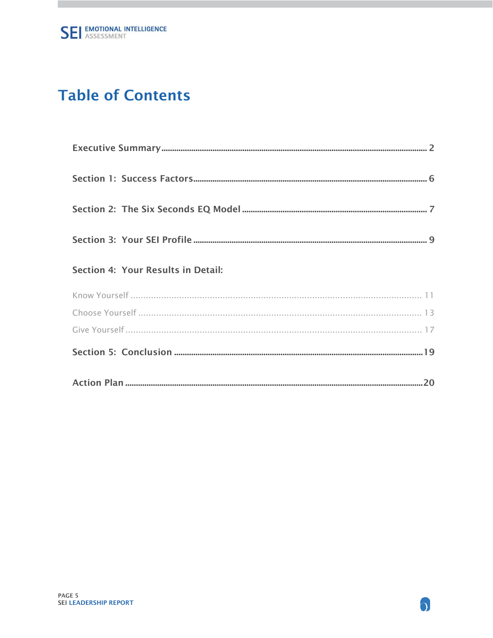# **Table of Contents**

| Section 4: Your Results in Detail: |
|------------------------------------|
|                                    |
|                                    |
|                                    |
|                                    |
|                                    |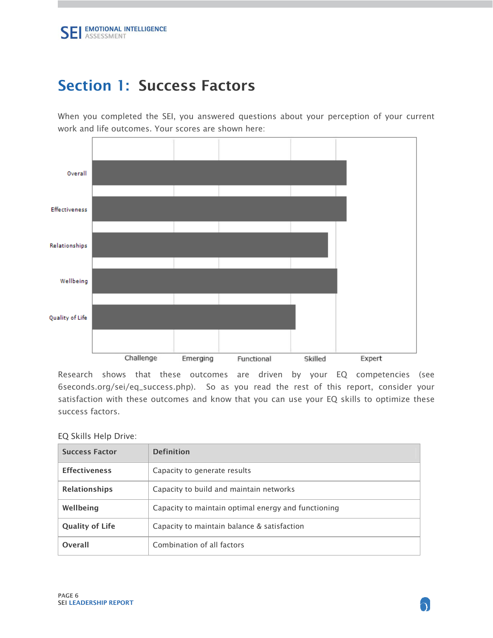# <span id="page-5-0"></span>Section 1: Success Factors

When you completed the SEI, you answered questions about your perception of your current work and life outcomes. Your scores are shown here:



Research shows that these outcomes are driven by your EQ competencies (see 6seconds.org/sei/eq\_success.php). So as you read the rest of this report, consider your satisfaction with these outcomes and know that you can use your EQ skills to optimize these success factors.

#### EQ Skills Help Drive:

| <b>Success Factor</b>  | <b>Definition</b>                                   |
|------------------------|-----------------------------------------------------|
| <b>Effectiveness</b>   | Capacity to generate results                        |
| <b>Relationships</b>   | Capacity to build and maintain networks             |
| Wellbeing              | Capacity to maintain optimal energy and functioning |
| <b>Quality of Life</b> | Capacity to maintain balance & satisfaction         |
| Overall                | Combination of all factors                          |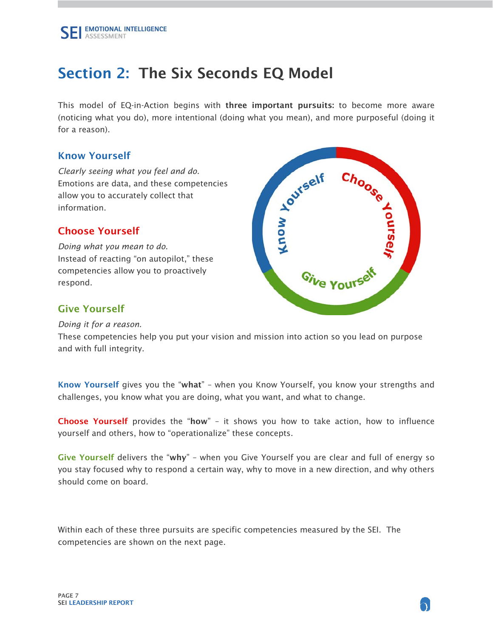# <span id="page-6-0"></span>Section 2: The Six Seconds EQ Model

This model of EQ-in-Action begins with three important pursuits: to become more aware (noticing what you do), more intentional (doing what you mean), and more purposeful (doing it for a reason).

### Know Yourself

*Clearly seeing what you feel and do.* Emotions are data, and these competencies allow you to accurately collect that information.

# Choose Yourself

*Doing what you mean to do.* Instead of reacting "on autopilot," these competencies allow you to proactively respond.



# Give Yourself

*Doing it for a reason.*

These competencies help you put your vision and mission into action so you lead on purpose and with full integrity.

Know Yourself gives you the "what" – when you Know Yourself, you know your strengths and challenges, you know what you are doing, what you want, and what to change.

Choose Yourself provides the "how" – it shows you how to take action, how to influence yourself and others, how to "operationalize" these concepts.

Give Yourself delivers the "why" – when you Give Yourself you are clear and full of energy so you stay focused why to respond a certain way, why to move in a new direction, and why others should come on board.

Within each of these three pursuits are specific competencies measured by the SEI. The competencies are shown on the next page.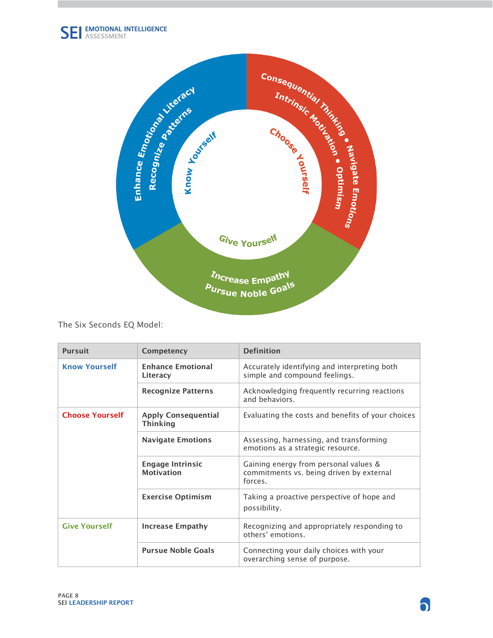

The Six Seconds EQ Model:

| <b>Pursuit</b>                                  | Competency                                    | <b>Definition</b>                                                                            |  |
|-------------------------------------------------|-----------------------------------------------|----------------------------------------------------------------------------------------------|--|
| <b>Know Yourself</b>                            | <b>Enhance Emotional</b><br>Literacy          | Accurately identifying and interpreting both<br>simple and compound feelings.                |  |
|                                                 | <b>Recognize Patterns</b>                     | Acknowledging frequently recurring reactions<br>and behaviors.                               |  |
| <b>Choose Yourself</b>                          | <b>Apply Consequential</b><br><b>Thinking</b> | Evaluating the costs and benefits of your choices                                            |  |
|                                                 | <b>Navigate Emotions</b>                      | Assessing, harnessing, and transforming<br>emotions as a strategic resource.                 |  |
|                                                 | <b>Engage Intrinsic</b><br><b>Motivation</b>  | Gaining energy from personal values &<br>commitments vs. being driven by external<br>forces. |  |
|                                                 | <b>Exercise Optimism</b>                      | Taking a proactive perspective of hope and<br>possibility.                                   |  |
| <b>Give Yourself</b><br><b>Increase Empathy</b> |                                               | Recognizing and appropriately responding to<br>others' emotions.                             |  |
|                                                 | <b>Pursue Noble Goals</b>                     | Connecting your daily choices with your<br>overarching sense of purpose.                     |  |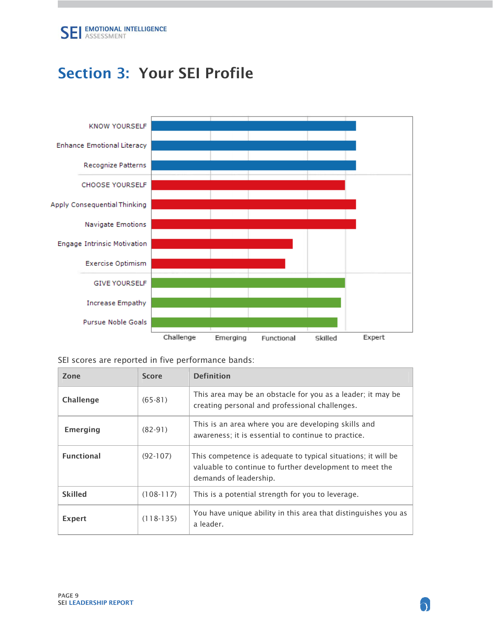# <span id="page-8-0"></span>Section 3: Your SEI Profile



|  |  |  |  |  |  | SEI scores are reported in five performance bands: |  |
|--|--|--|--|--|--|----------------------------------------------------|--|
|--|--|--|--|--|--|----------------------------------------------------|--|

| Zone              | <b>Score</b> | <b>Definition</b>                                                                                                                                  |
|-------------------|--------------|----------------------------------------------------------------------------------------------------------------------------------------------------|
| <b>Challenge</b>  | $(65-81)$    | This area may be an obstacle for you as a leader; it may be<br>creating personal and professional challenges.                                      |
| Emerging          | $(82-91)$    | This is an area where you are developing skills and<br>awareness; it is essential to continue to practice.                                         |
| <b>Functional</b> | $(92-107)$   | This competence is adequate to typical situations; it will be<br>valuable to continue to further development to meet the<br>demands of leadership. |
| <b>Skilled</b>    | $(108-117)$  | This is a potential strength for you to leverage.                                                                                                  |
| Expert            | $(118-135)$  | You have unique ability in this area that distinguishes you as<br>a leader.                                                                        |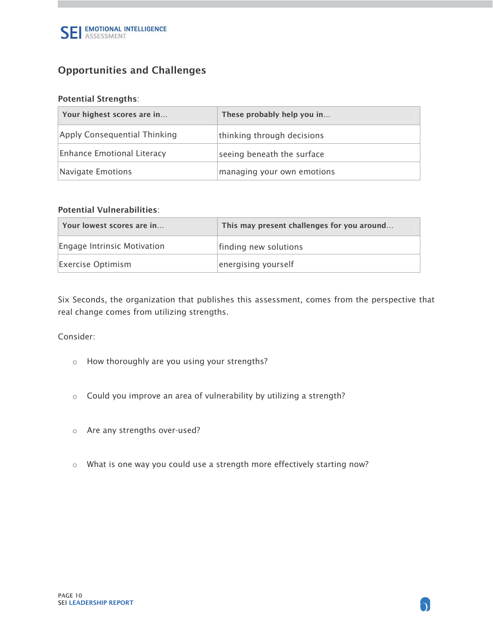

# Opportunities and Challenges

#### Potential Strengths:

| Your highest scores are in        | These probably help you in |
|-----------------------------------|----------------------------|
| Apply Consequential Thinking      | thinking through decisions |
| <b>Enhance Emotional Literacy</b> | seeing beneath the surface |
| Navigate Emotions                 | managing your own emotions |

#### Potential Vulnerabilities:

| Your lowest scores are in   | This may present challenges for you around |
|-----------------------------|--------------------------------------------|
| Engage Intrinsic Motivation | finding new solutions                      |
| <b>Exercise Optimism</b>    | energising yourself                        |

Six Seconds, the organization that publishes this assessment, comes from the perspective that real change comes from utilizing strengths.

#### Consider:

- o How thoroughly are you using your strengths?
- o Could you improve an area of vulnerability by utilizing a strength?
- o Are any strengths over-used?
- o What is one way you could use a strength more effectively starting now?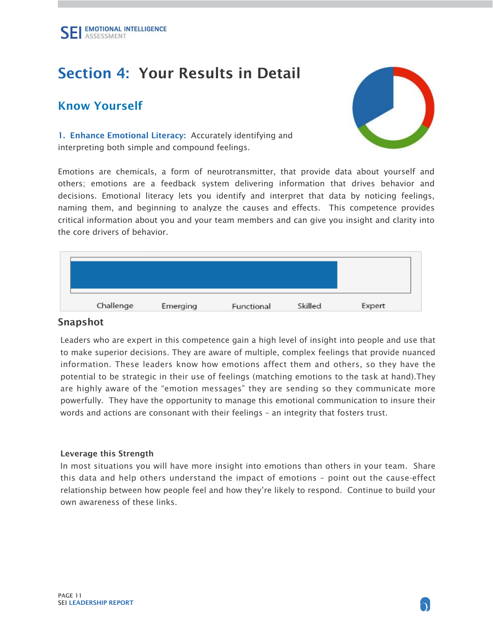# <span id="page-10-0"></span>Section 4: Your Results in Detail

# Know Yourself

1. Enhance Emotional Literacy: Accurately identifying and interpreting both simple and compound feelings.

Emotions are chemicals, a form of neurotransmitter, that provide data about yourself and others; emotions are a feedback system delivering information that drives behavior and decisions. Emotional literacy lets you identify and interpret that data by noticing feelings, naming them, and beginning to analyze the causes and effects. This competence provides critical information about you and your team members and can give you insight and clarity into the core drivers of behavior.



### Snapshot

Leaders who are expert in this competence gain a high level of insight into people and use that to make superior decisions. They are aware of multiple, complex feelings that provide nuanced information. These leaders know how emotions affect them and others, so they have the potential to be strategic in their use of feelings (matching emotions to the task at hand).They are highly aware of the "emotion messages" they are sending so they communicate more powerfully. They have the opportunity to manage this emotional communication to insure their words and actions are consonant with their feelings – an integrity that fosters trust.

#### Leverage this Strength

In most situations you will have more insight into emotions than others in your team. Share this data and help others understand the impact of emotions – point out the cause-effect relationship between how people feel and how they're likely to respond. Continue to build your own awareness of these links.

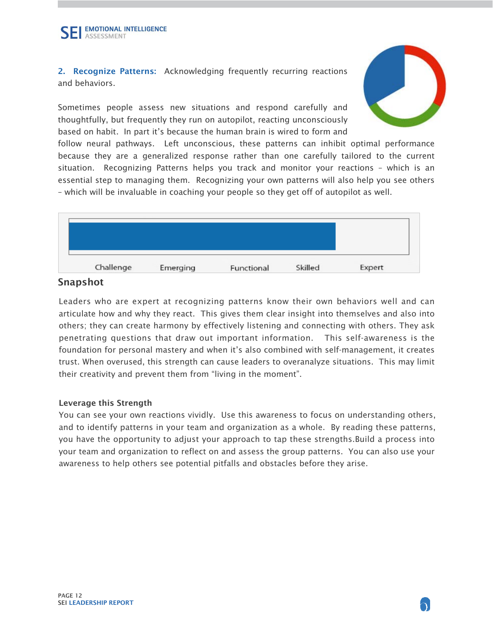2. Recognize Patterns: Acknowledging frequently recurring reactions and behaviors.

Sometimes people assess new situations and respond carefully and thoughtfully, but frequently they run on autopilot, reacting unconsciously based on habit. In part it's because the human brain is wired to form and



follow neural pathways. Left unconscious, these patterns can inhibit optimal performance because they are a generalized response rather than one carefully tailored to the current situation. Recognizing Patterns helps you track and monitor your reactions – which is an essential step to managing them. Recognizing your own patterns will also help you see others – which will be invaluable in coaching your people so they get off of autopilot as well.



# Snapshot

Leaders who are expert at recognizing patterns know their own behaviors well and can articulate how and why they react. This gives them clear insight into themselves and also into others; they can create harmony by effectively listening and connecting with others. They ask penetrating questions that draw out important information. This self-awareness is the foundation for personal mastery and when it's also combined with self-management, it creates trust. When overused, this strength can cause leaders to overanalyze situations. This may limit their creativity and prevent them from "living in the moment".

#### Leverage this Strength

You can see your own reactions vividly. Use this awareness to focus on understanding others, and to identify patterns in your team and organization as a whole. By reading these patterns, you have the opportunity to adjust your approach to tap these strengths.Build a process into your team and organization to reflect on and assess the group patterns. You can also use your awareness to help others see potential pitfalls and obstacles before they arise.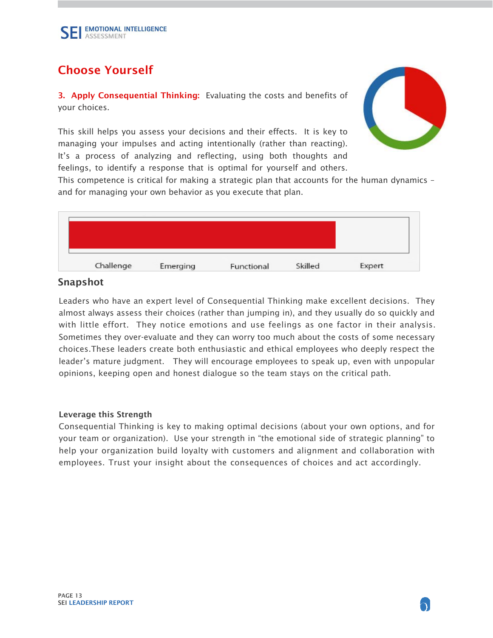# <span id="page-12-0"></span>Choose Yourself

3. Apply Consequential Thinking: Evaluating the costs and benefits of your choices.

This skill helps you assess your decisions and their effects. It is key to managing your impulses and acting intentionally (rather than reacting). It's a process of analyzing and reflecting, using both thoughts and feelings, to identify a response that is optimal for yourself and others.



This competence is critical for making a strategic plan that accounts for the human dynamics – and for managing your own behavior as you execute that plan.



# Snapshot

Leaders who have an expert level of Consequential Thinking make excellent decisions. They almost always assess their choices (rather than jumping in), and they usually do so quickly and with little effort. They notice emotions and use feelings as one factor in their analysis. Sometimes they over-evaluate and they can worry too much about the costs of some necessary choices.These leaders create both enthusiastic and ethical employees who deeply respect the leader's mature judgment. They will encourage employees to speak up, even with unpopular opinions, keeping open and honest dialogue so the team stays on the critical path.

#### Leverage this Strength

Consequential Thinking is key to making optimal decisions (about your own options, and for your team or organization). Use your strength in "the emotional side of strategic planning" to help your organization build loyalty with customers and alignment and collaboration with employees. Trust your insight about the consequences of choices and act accordingly.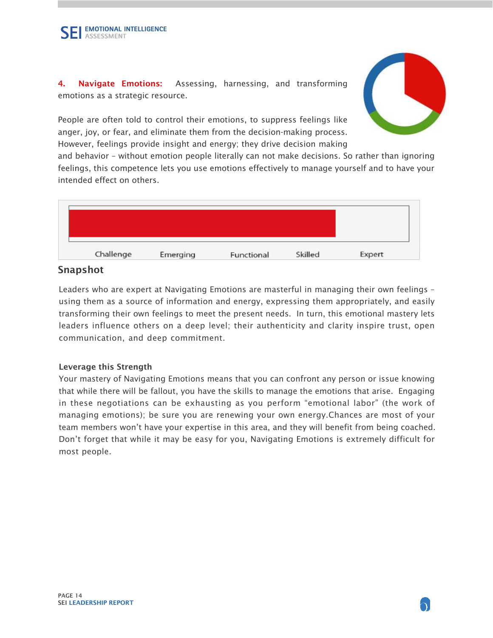4. Navigate Emotions: Assessing, harnessing, and transforming emotions as a strategic resource.

People are often told to control their emotions, to suppress feelings like anger, joy, or fear, and eliminate them from the decision-making process. However, feelings provide insight and energy; they drive decision making



and behavior – without emotion people literally can not make decisions. So rather than ignoring feelings, this competence lets you use emotions effectively to manage yourself and to have your intended effect on others.



## Snapshot

Leaders who are expert at Navigating Emotions are masterful in managing their own feelings – using them as a source of information and energy, expressing them appropriately, and easily transforming their own feelings to meet the present needs. In turn, this emotional mastery lets leaders influence others on a deep level; their authenticity and clarity inspire trust, open communication, and deep commitment.

#### Leverage this Strength

Your mastery of Navigating Emotions means that you can confront any person or issue knowing that while there will be fallout, you have the skills to manage the emotions that arise. Engaging in these negotiations can be exhausting as you perform "emotional labor" (the work of managing emotions); be sure you are renewing your own energy.Chances are most of your team members won't have your expertise in this area, and they will benefit from being coached. Don't forget that while it may be easy for you, Navigating Emotions is extremely difficult for most people.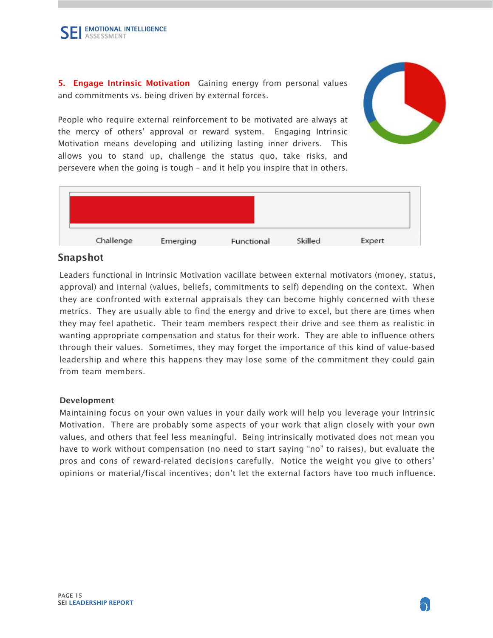5. Engage Intrinsic Motivation Gaining energy from personal values and commitments vs. being driven by external forces.

People who require external reinforcement to be motivated are always at the mercy of others' approval or reward system. Engaging Intrinsic Motivation means developing and utilizing lasting inner drivers. This allows you to stand up, challenge the status quo, take risks, and persevere when the going is tough – and it help you inspire that in others.



# Snapshot

Leaders functional in Intrinsic Motivation vacillate between external motivators (money, status, approval) and internal (values, beliefs, commitments to self) depending on the context. When they are confronted with external appraisals they can become highly concerned with these metrics. They are usually able to find the energy and drive to excel, but there are times when they may feel apathetic. Their team members respect their drive and see them as realistic in wanting appropriate compensation and status for their work. They are able to influence others through their values. Sometimes, they may forget the importance of this kind of value-based leadership and where this happens they may lose some of the commitment they could gain from team members.

#### Development

Maintaining focus on your own values in your daily work will help you leverage your Intrinsic Motivation. There are probably some aspects of your work that align closely with your own values, and others that feel less meaningful. Being intrinsically motivated does not mean you have to work without compensation (no need to start saying "no" to raises), but evaluate the pros and cons of reward-related decisions carefully. Notice the weight you give to others' opinions or material/fiscal incentives; don't let the external factors have too much influence.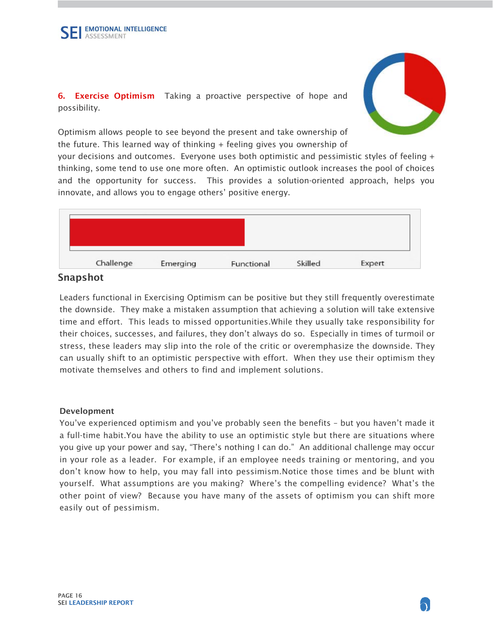

6. Exercise Optimism Taking a proactive perspective of hope and possibility.

Optimism allows people to see beyond the present and take ownership of the future. This learned way of thinking + feeling gives you ownership of

your decisions and outcomes. Everyone uses both optimistic and pessimistic styles of feeling + thinking, some tend to use one more often. An optimistic outlook increases the pool of choices and the opportunity for success. This provides a solution-oriented approach, helps you innovate, and allows you to engage others' positive energy.



## Snapshot

Leaders functional in Exercising Optimism can be positive but they still frequently overestimate the downside. They make a mistaken assumption that achieving a solution will take extensive time and effort. This leads to missed opportunities.While they usually take responsibility for their choices, successes, and failures, they don't always do so. Especially in times of turmoil or stress, these leaders may slip into the role of the critic or overemphasize the downside. They can usually shift to an optimistic perspective with effort. When they use their optimism they motivate themselves and others to find and implement solutions.

#### Development

You've experienced optimism and you've probably seen the benefits – but you haven't made it a full-time habit.You have the ability to use an optimistic style but there are situations where you give up your power and say, "There's nothing I can do." An additional challenge may occur in your role as a leader. For example, if an employee needs training or mentoring, and you don't know how to help, you may fall into pessimism.Notice those times and be blunt with yourself. What assumptions are you making? Where's the compelling evidence? What's the other point of view? Because you have many of the assets of optimism you can shift more easily out of pessimism.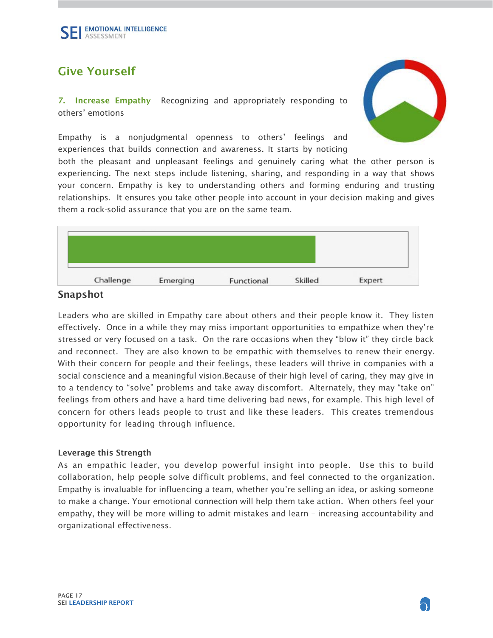# <span id="page-16-0"></span>Give Yourself

7. Increase Empathy Recognizing and appropriately responding to others' emotions



Empathy is a nonjudgmental openness to others' feelings and experiences that builds connection and awareness. It starts by noticing

both the pleasant and unpleasant feelings and genuinely caring what the other person is experiencing. The next steps include listening, sharing, and responding in a way that shows your concern. Empathy is key to understanding others and forming enduring and trusting relationships. It ensures you take other people into account in your decision making and gives them a rock-solid assurance that you are on the same team.



### Snapshot

Leaders who are skilled in Empathy care about others and their people know it. They listen effectively. Once in a while they may miss important opportunities to empathize when they're stressed or very focused on a task. On the rare occasions when they "blow it" they circle back and reconnect. They are also known to be empathic with themselves to renew their energy. With their concern for people and their feelings, these leaders will thrive in companies with a social conscience and a meaningful vision.Because of their high level of caring, they may give in to a tendency to "solve" problems and take away discomfort. Alternately, they may "take on" feelings from others and have a hard time delivering bad news, for example. This high level of concern for others leads people to trust and like these leaders. This creates tremendous opportunity for leading through influence.

#### Leverage this Strength

As an empathic leader, you develop powerful insight into people. Use this to build collaboration, help people solve difficult problems, and feel connected to the organization. Empathy is invaluable for influencing a team, whether you're selling an idea, or asking someone to make a change. Your emotional connection will help them take action. When others feel your empathy, they will be more willing to admit mistakes and learn – increasing accountability and organizational effectiveness.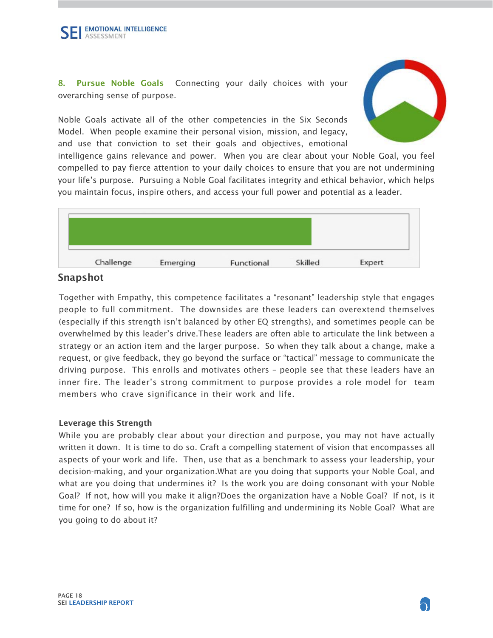8. Pursue Noble Goals Connecting your daily choices with your overarching sense of purpose.

Noble Goals activate all of the other competencies in the Six Seconds Model. When people examine their personal vision, mission, and legacy, and use that conviction to set their goals and objectives, emotional



intelligence gains relevance and power. When you are clear about your Noble Goal, you feel compelled to pay fierce attention to your daily choices to ensure that you are not undermining your life's purpose. Pursuing a Noble Goal facilitates integrity and ethical behavior, which helps you maintain focus, inspire others, and access your full power and potential as a leader.



### Snapshot

Together with Empathy, this competence facilitates a "resonant" leadership style that engages people to full commitment. The downsides are these leaders can overextend themselves (especially if this strength isn't balanced by other EQ strengths), and sometimes people can be overwhelmed by this leader's drive.These leaders are often able to articulate the link between a strategy or an action item and the larger purpose. So when they talk about a change, make a request, or give feedback, they go beyond the surface or "tactical" message to communicate the driving purpose. This enrolls and motivates others – people see that these leaders have an inner fire. The leader's strong commitment to purpose provides a role model for team members who crave significance in their work and life.

#### Leverage this Strength

While you are probably clear about your direction and purpose, you may not have actually written it down. It is time to do so. Craft a compelling statement of vision that encompasses all aspects of your work and life. Then, use that as a benchmark to assess your leadership, your decision-making, and your organization.What are you doing that supports your Noble Goal, and what are you doing that undermines it? Is the work you are doing consonant with your Noble Goal? If not, how will you make it align?Does the organization have a Noble Goal? If not, is it time for one? If so, how is the organization fulfilling and undermining its Noble Goal? What are you going to do about it?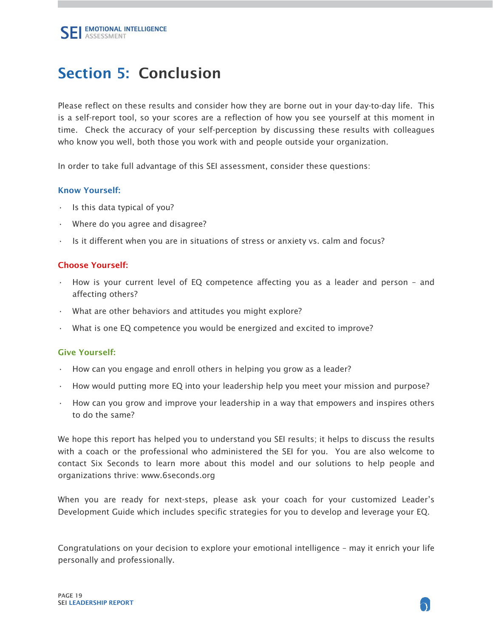# <span id="page-18-0"></span>Section 5: Conclusion

Please reflect on these results and consider how they are borne out in your day-to-day life. This is a self-report tool, so your scores are a reflection of how you see yourself at this moment in time. Check the accuracy of your self-perception by discussing these results with colleagues who know you well, both those you work with and people outside your organization.

In order to take full advantage of this SEI assessment, consider these questions:

#### Know Yourself:

- Is this data typical of you?
- Where do you agree and disagree?
- $\cdot$  Is it different when you are in situations of stress or anxiety vs. calm and focus?

#### Choose Yourself:

- How is your current level of EQ competence affecting you as a leader and person and affecting others?
- What are other behaviors and attitudes you might explore?
- What is one EQ competence you would be energized and excited to improve?

#### Give Yourself:

- How can you engage and enroll others in helping you grow as a leader?
- How would putting more EQ into your leadership help you meet your mission and purpose?
- How can you grow and improve your leadership in a way that empowers and inspires others to do the same?

We hope this report has helped you to understand you SEI results; it helps to discuss the results with a coach or the professional who administered the SEI for you. You are also welcome to contact Six Seconds to learn more about this model and our solutions to help people and organizations thrive: www.6seconds.org

When you are ready for next-steps, please ask your coach for your customized Leader's Development Guide which includes specific strategies for you to develop and leverage your EQ.

Congratulations on your decision to explore your emotional intelligence – may it enrich your life personally and professionally.